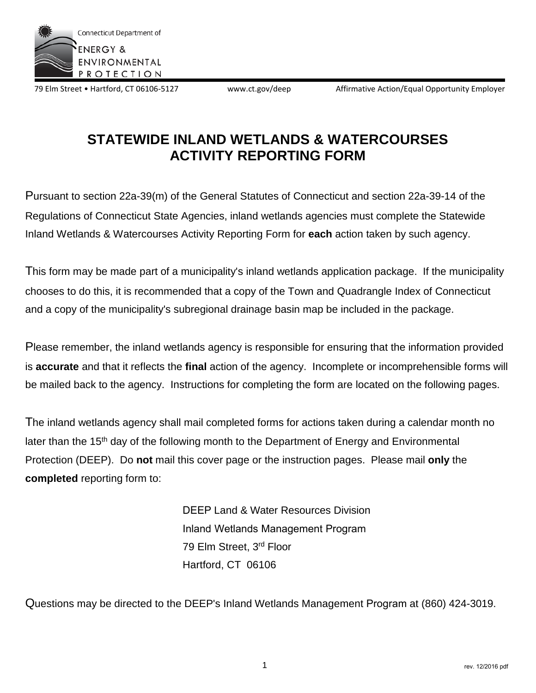

79 Elm Street • Hartford, CT 06106-5127 www.ct.gov/deep Affirmative Action/Equal Opportunity Employer

# **STATEWIDE INLAND WETLANDS & WATERCOURSES ACTIVITY REPORTING FORM**

Pursuant to section 22a-39(m) of the General Statutes of Connecticut and section 22a-39-14 of the Regulations of Connecticut State Agencies, inland wetlands agencies must complete the Statewide Inland Wetlands & Watercourses Activity Reporting Form for **each** action taken by such agency.

This form may be made part of a municipality's inland wetlands application package. If the municipality chooses to do this, it is recommended that a copy of the Town and Quadrangle Index of Connecticut and a copy of the municipality's subregional drainage basin map be included in the package.

Please remember, the inland wetlands agency is responsible for ensuring that the information provided is **accurate** and that it reflects the **final** action of the agency. Incomplete or incomprehensible forms will be mailed back to the agency. Instructions for completing the form are located on the following pages.

The inland wetlands agency shall mail completed forms for actions taken during a calendar month no later than the 15<sup>th</sup> day of the following month to the Department of Energy and Environmental Protection (DEEP). Do **not** mail this cover page or the instruction pages. Please mail **only** the **completed** reporting form to:

> DEEP Land & Water Resources Division Inland Wetlands Management Program 79 Elm Street, 3rd Floor Hartford, CT 06106

Questions may be directed to the DEEP's Inland Wetlands Management Program at (860) 424-3019.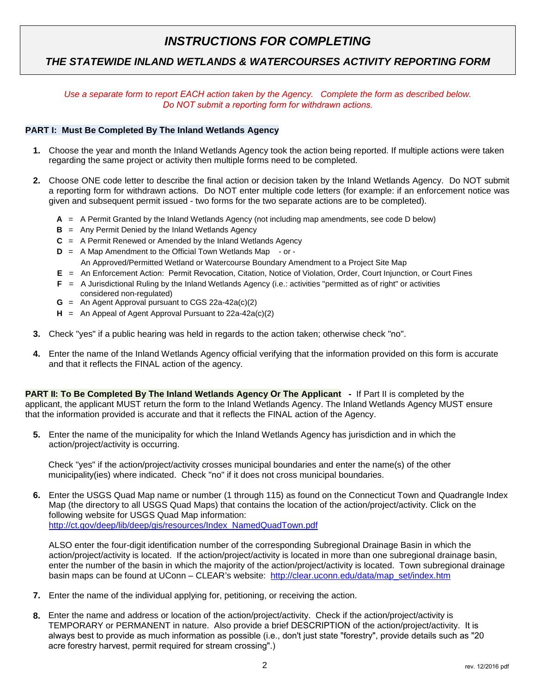### *INSTRUCTIONS FOR COMPLETING*

### *THE STATEWIDE INLAND WETLANDS & WATERCOURSES ACTIVITY REPORTING FORM*

#### *Use a separate form to report EACH action taken by the Agency. Complete the form as described below. Do NOT submit a reporting form for withdrawn actions.*

#### **PART I: Must Be Completed By The Inland Wetlands Agency**

- **1.** Choose the year and month the Inland Wetlands Agency took the action being reported. If multiple actions were taken regarding the same project or activity then multiple forms need to be completed.
- **2.** Choose ONE code letter to describe the final action or decision taken by the Inland Wetlands Agency. Do NOT submit a reporting form for withdrawn actions. Do NOT enter multiple code letters (for example: if an enforcement notice was given and subsequent permit issued - two forms for the two separate actions are to be completed).
	- **A** = A Permit Granted by the Inland Wetlands Agency (not including map amendments, see code D below)
	- **B** = Any Permit Denied by the Inland Wetlands Agency
	- **C** = A Permit Renewed or Amended by the Inland Wetlands Agency
	- **D** = A Map Amendment to the Official Town Wetlands Map or An Approved/Permitted Wetland or Watercourse Boundary Amendment to a Project Site Map
	- **E** = An Enforcement Action: Permit Revocation, Citation, Notice of Violation, Order, Court Injunction, or Court Fines
	- **F** = A Jurisdictional Ruling by the Inland Wetlands Agency (i.e.: activities "permitted as of right" or activities
	- considered non-regulated) **G** = An Agent Approval pursuant to CGS 22a-42a(c)(2)
	- **H** = An Appeal of Agent Approval Pursuant to 22a-42a(c)(2)
- **3.** Check "yes" if a public hearing was held in regards to the action taken; otherwise check "no".
- **4.** Enter the name of the Inland Wetlands Agency official verifying that the information provided on this form is accurate and that it reflects the FINAL action of the agency.

**PART II: To Be Completed By The Inland Wetlands Agency Or The Applicant -** If Part II is completed by the applicant, the applicant MUST return the form to the Inland Wetlands Agency. The Inland Wetlands Agency MUST ensure that the information provided is accurate and that it reflects the FINAL action of the Agency.

**5.** Enter the name of the municipality for which the Inland Wetlands Agency has jurisdiction and in which the action/project/activity is occurring.

Check "yes" if the action/project/activity crosses municipal boundaries and enter the name(s) of the other municipality(ies) where indicated. Check "no" if it does not cross municipal boundaries.

**6.** Enter the USGS Quad Map name or number (1 through 115) as found on the Connecticut Town and Quadrangle Index Map (the directory to all USGS Quad Maps) that contains the location of the action/project/activity. Click on the following website for USGS Quad Map information: [http://ct.gov/deep/lib/deep/gis/resources/Index\\_NamedQuadTown.pdf](http://ct.gov/deep/lib/deep/gis/resources/Index_NamedQuadTown.pdf)

ALSO enter the four-digit identification number of the corresponding Subregional Drainage Basin in which the action/project/activity is located. If the action/project/activity is located in more than one subregional drainage basin, enter the number of the basin in which the majority of the action/project/activity is located. Town subregional drainage basin maps can be found at UConn – CLEAR's website: [http://clear.uconn.edu/data/map\\_set/index.htm](http://clear.uconn.edu/data/map_set/index.htm)

- **7.** Enter the name of the individual applying for, petitioning, or receiving the action.
- **8.** Enter the name and address or location of the action/project/activity. Check if the action/project/activity is TEMPORARY or PERMANENT in nature. Also provide a brief DESCRIPTION of the action/project/activity. It is always best to provide as much information as possible (i.e., don't just state "forestry", provide details such as "20 acre forestry harvest, permit required for stream crossing".)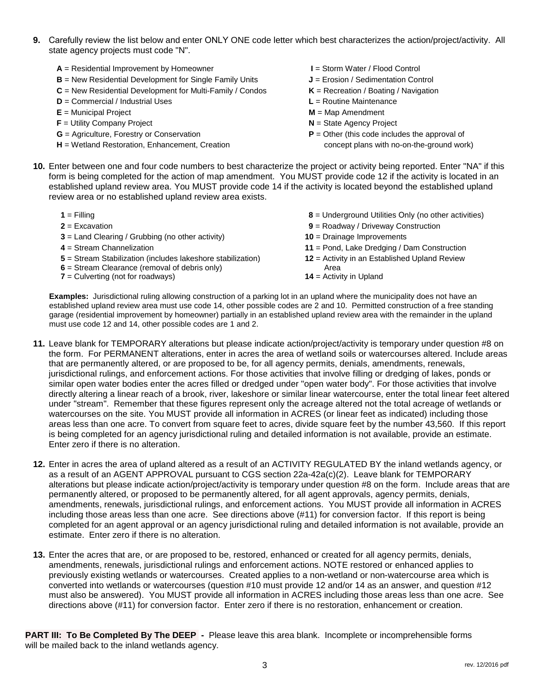- **9.** Carefully review the list below and enter ONLY ONE code letter which best characterizes the action/project/activity. All state agency projects must code "N".
	- **A** = Residential Improvement by Homeowner **I** = Storm Water / Flood Control
	- **B** = New Residential Development for Single Family Units **J** = Erosion / Sedimentation Control
	- **C** = New Residential Development for Multi-Family / Condos **K** = Recreation / Boating / Navigation
	- **D** = Commercial / Industrial Uses **L** = Routine Maintenance
	-
	- **F** = Utility Company Project **N** = State Agency Project
	-
	- **H** = Wetland Restoration, Enhancement, Creation concept plans with no-on-the-ground work)
- 
- 
- 
- - **E** = Municipal Project **M** = Map Amendment
		-
	- **G** = Agriculture, Forestry or Conservation **P** = Other (this code includes the approval of
- **10.** Enter between one and four code numbers to best characterize the project or activity being reported. Enter "NA" if this form is being completed for the action of map amendment. You MUST provide code 12 if the activity is located in an established upland review area. You MUST provide code 14 if the activity is located beyond the established upland review area or no established upland review area exists.

| $1 =$ Filling                                                                                                                                         | 8 = Underground Utilities Only (no other activities)                               |
|-------------------------------------------------------------------------------------------------------------------------------------------------------|------------------------------------------------------------------------------------|
| $2 = Excavation$                                                                                                                                      | $9$ = Roadway / Driveway Construction                                              |
| $3 =$ Land Clearing / Grubbing (no other activity)                                                                                                    | $10 = Drainage$ Improvements                                                       |
| $4 =$ Stream Channelization                                                                                                                           | 11 = Pond, Lake Dredging / Dam Construction                                        |
| 5 = Stream Stabilization (includes lakeshore stabilization)<br>$6$ = Stream Clearance (removal of debris only)<br>$7 =$ Culverting (not for roadways) | 12 = Activity in an Established Upland Review<br>Area<br>$14$ = Activity in Upland |

**Examples:** Jurisdictional ruling allowing construction of a parking lot in an upland where the municipality does not have an established upland review area must use code 14, other possible codes are 2 and 10. Permitted construction of a free standing garage (residential improvement by homeowner) partially in an established upland review area with the remainder in the upland must use code 12 and 14, other possible codes are 1 and 2.

- **11.** Leave blank for TEMPORARY alterations but please indicate action/project/activity is temporary under question #8 on the form. For PERMANENT alterations, enter in acres the area of wetland soils or watercourses altered. Include areas that are permanently altered, or are proposed to be, for all agency permits, denials, amendments, renewals, jurisdictional rulings, and enforcement actions. For those activities that involve filling or dredging of lakes, ponds or similar open water bodies enter the acres filled or dredged under "open water body". For those activities that involve directly altering a linear reach of a brook, river, lakeshore or similar linear watercourse, enter the total linear feet altered under "stream". Remember that these figures represent only the acreage altered not the total acreage of wetlands or watercourses on the site. You MUST provide all information in ACRES (or linear feet as indicated) including those areas less than one acre. To convert from square feet to acres, divide square feet by the number 43,560. If this report is being completed for an agency jurisdictional ruling and detailed information is not available, provide an estimate. Enter zero if there is no alteration.
- **12.** Enter in acres the area of upland altered as a result of an ACTIVITY REGULATED BY the inland wetlands agency, or as a result of an AGENT APPROVAL pursuant to CGS section 22a-42a(c)(2). Leave blank for TEMPORARY alterations but please indicate action/project/activity is temporary under question #8 on the form. Include areas that are permanently altered, or proposed to be permanently altered, for all agent approvals, agency permits, denials, amendments, renewals, jurisdictional rulings, and enforcement actions. You MUST provide all information in ACRES including those areas less than one acre. See directions above (#11) for conversion factor. If this report is being completed for an agent approval or an agency jurisdictional ruling and detailed information is not available, provide an estimate. Enter zero if there is no alteration.
- **13.** Enter the acres that are, or are proposed to be, restored, enhanced or created for all agency permits, denials, amendments, renewals, jurisdictional rulings and enforcement actions. NOTE restored or enhanced applies to previously existing wetlands or watercourses. Created applies to a non-wetland or non-watercourse area which is converted into wetlands or watercourses (question #10 must provide 12 and/or 14 as an answer, and question #12 must also be answered). You MUST provide all information in ACRES including those areas less than one acre. See directions above (#11) for conversion factor. Enter zero if there is no restoration, enhancement or creation.

**PART III: To Be Completed By The DEEP -** Please leave this area blank. Incomplete or incomprehensible forms will be mailed back to the inland wetlands agency.